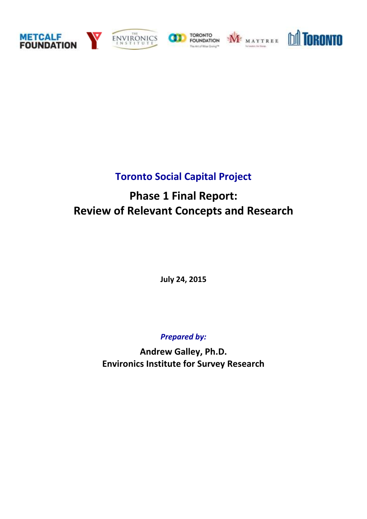









## **Toronto Social Capital Project**

# **Phase 1 Final Report: Review of Relevant Concepts and Research**

**July 24, 2015**

*Prepared by:*

**Andrew Galley, Ph.D. Environics Institute for Survey Research**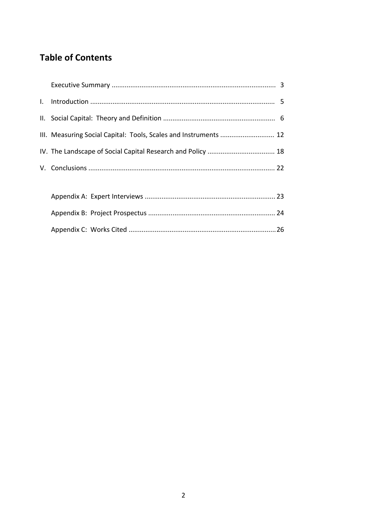## **Table of Contents**

| III. Measuring Social Capital: Tools, Scales and Instruments  12 |  |
|------------------------------------------------------------------|--|
|                                                                  |  |
|                                                                  |  |
|                                                                  |  |
|                                                                  |  |
|                                                                  |  |
|                                                                  |  |
|                                                                  |  |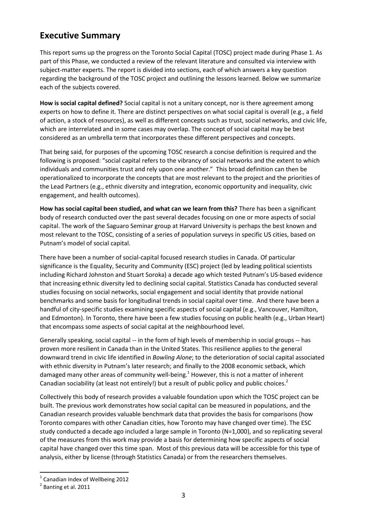## **Executive Summary**

This report sums up the progress on the Toronto Social Capital (TOSC) project made during Phase 1. As part of this Phase, we conducted a review of the relevant literature and consulted via interview with subject-matter experts. The report is divided into sections, each of which answers a key question regarding the background of the TOSC project and outlining the lessons learned. Below we summarize each of the subjects covered.

**How is social capital defined?** Social capital is not a unitary concept, nor is there agreement among experts on how to define it. There are distinct perspectives on what social capital is overall (e.g., a field of action, a stock of resources), as well as different concepts such as trust, social networks, and civic life, which are interrelated and in some cases may overlap. The concept of social capital may be best considered as an umbrella term that incorporates these different perspectives and concepts.

That being said, for purposes of the upcoming TOSC research a concise definition is required and the following is proposed: "social capital refers to the vibrancy of social networks and the extent to which individuals and communities trust and rely upon one another." This broad definition can then be operationalized to incorporate the concepts that are most relevant to the project and the priorities of the Lead Partners (e.g., ethnic diversity and integration, economic opportunity and inequality, civic engagement, and health outcomes).

**How has social capital been studied, and what can we learn from this?** There has been a significant body of research conducted over the past several decades focusing on one or more aspects of social capital. The work of the Saguaro Seminar group at Harvard University is perhaps the best known and most relevant to the TOSC, consisting of a series of population surveys in specific US cities, based on Putnam's model of social capital.

There have been a number of social-capital focused research studies in Canada. Of particular significance is the Equality, Security and Community (ESC) project (led by leading political scientists including Richard Johnston and Stuart Soroka) a decade ago which tested Putnam's US-based evidence that increasing ethnic diversity led to declining social capital. Statistics Canada has conducted several studies focusing on social networks, social engagement and social identity that provide national benchmarks and some basis for longitudinal trends in social capital over time. And there have been a handful of city-specific studies examining specific aspects of social capital (e.g., Vancouver, Hamilton, and Edmonton). In Toronto, there have been a few studies focusing on public health (e.g., Urban Heart) that encompass some aspects of social capital at the neighbourhood level.

Generally speaking, social capital -- in the form of high levels of membership in social groups -- has proven more resilient in Canada than in the United States. This resilience applies to the general downward trend in civic life identified in *Bowling Alone*; to the deterioration of social capital associated with ethnic diversity in Putnam's later research; and finally to the 2008 economic setback, which damaged many other areas of community well-being.<sup>1</sup> However, this is not a matter of inherent Canadian sociability (at least not entirely!) but a result of public policy and public choices.<sup>2</sup>

Collectively this body of research provides a valuable foundation upon which the TOSC project can be built. The previous work demonstrates how social capital can be measured in populations, and the Canadian research provides valuable benchmark data that provides the basis for comparisons (how Toronto compares with other Canadian cities, how Toronto may have changed over time). The ESC study conducted a decade ago included a large sample in Toronto (N=1,000), and so replicating several of the measures from this work may provide a basis for determining how specific aspects of social capital have changed over this time span. Most of this previous data will be accessible for this type of analysis, either by license (through Statistics Canada) or from the researchers themselves.

<sup>1</sup> Canadian Index of Wellbeing 2012

<sup>2</sup> Banting et al. 2011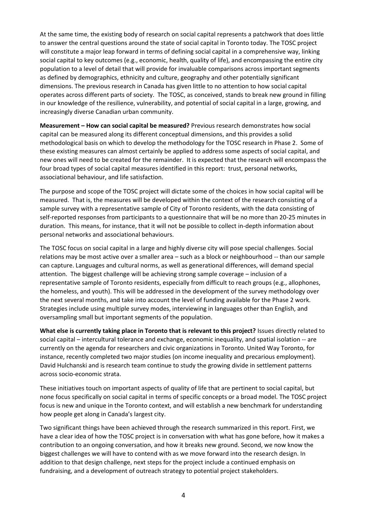At the same time, the existing body of research on social capital represents a patchwork that does little to answer the central questions around the state of social capital in Toronto today. The TOSC project will constitute a major leap forward in terms of defining social capital in a comprehensive way, linking social capital to key outcomes (e.g., economic, health, quality of life), and encompassing the entire city population to a level of detail that will provide for invaluable comparisons across important segments as defined by demographics, ethnicity and culture, geography and other potentially significant dimensions. The previous research in Canada has given little to no attention to how social capital operates across different parts of society. The TOSC, as conceived, stands to break new ground in filling in our knowledge of the resilience, vulnerability, and potential of social capital in a large, growing, and increasingly diverse Canadian urban community.

**Measurement – How can social capital be measured?** Previous research demonstrates how social capital can be measured along its different conceptual dimensions, and this provides a solid methodological basis on which to develop the methodology for the TOSC research in Phase 2. Some of these existing measures can almost certainly be applied to address some aspects of social capital, and new ones will need to be created for the remainder. It is expected that the research will encompass the four broad types of social capital measures identified in this report: trust, personal networks, associational behaviour, and life satisfaction.

The purpose and scope of the TOSC project will dictate some of the choices in how social capital will be measured. That is, the measures will be developed within the context of the research consisting of a sample survey with a representative sample of City of Toronto residents, with the data consisting of self-reported responses from participants to a questionnaire that will be no more than 20-25 minutes in duration. This means, for instance, that it will not be possible to collect in-depth information about personal networks and associational behaviours.

The TOSC focus on social capital in a large and highly diverse city will pose special challenges. Social relations may be most active over a smaller area – such as a block or neighbourhood -- than our sample can capture. Languages and cultural norms, as well as generational differences, will demand special attention. The biggest challenge will be achieving strong sample coverage – inclusion of a representative sample of Toronto residents, especially from difficult to reach groups (e.g., allophones, the homeless, and youth). This will be addressed in the development of the survey methodology over the next several months, and take into account the level of funding available for the Phase 2 work. Strategies include using multiple survey modes, interviewing in languages other than English, and oversampling small but important segments of the population.

**What else is currently taking place in Toronto that is relevant to this project?** Issues directly related to social capital – intercultural tolerance and exchange, economic inequality, and spatial isolation -- are currently on the agenda for researchers and civic organizations in Toronto. United Way Toronto, for instance, recently completed two major studies (on income inequality and precarious employment). David Hulchanski and is research team continue to study the growing divide in settlement patterns across socio-economic strata.

These initiatives touch on important aspects of quality of life that are pertinent to social capital, but none focus specifically on social capital in terms of specific concepts or a broad model. The TOSC project focus is new and unique in the Toronto context, and will establish a new benchmark for understanding how people get along in Canada's largest city.

Two significant things have been achieved through the research summarized in this report. First, we have a clear idea of how the TOSC project is in conversation with what has gone before, how it makes a contribution to an ongoing conversation, and how it breaks new ground. Second, we now know the biggest challenges we will have to contend with as we move forward into the research design. In addition to that design challenge, next steps for the project include a continued emphasis on fundraising, and a development of outreach strategy to potential project stakeholders.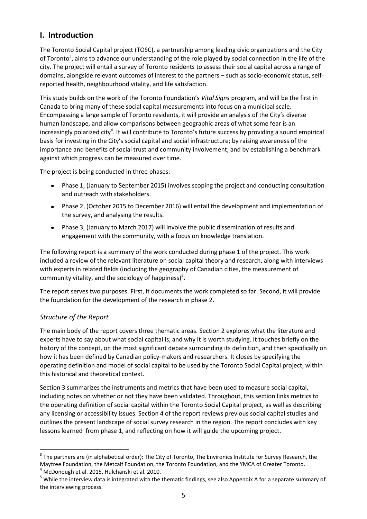## **I. Introduction**

The Toronto Social Capital project (TOSC), a partnership among leading civic organizations and the City of Toronto<sup>3</sup>, aims to advance our understanding of the role played by social connection in the life of the city. The project will entail a survey of Toronto residents to assess their social capital across a range of domains, alongside relevant outcomes of interest to the partners – such as socio-economic status, selfreported health, neighbourhood vitality, and life satisfaction.

This study builds on the work of the Toronto Foundation's *Vital Signs* program, and will be the first in Canada to bring many of these social capital measurements into focus on a municipal scale. Encompassing a large sample of Toronto residents, it will provide an analysis of the City's diverse human landscape, and allow comparisons between geographic areas of what some fear is an increasingly polarized city<sup>4</sup>. It will contribute to Toronto's future success by providing a sound empirical basis for investing in the City's social capital and social infrastructure; by raising awareness of the importance and benefits of social trust and community involvement; and by establishing a benchmark against which progress can be measured over time.

The project is being conducted in three phases:

- Phase 1, (January to September 2015) involves scoping the project and conducting consultation  $\bullet$ and outreach with stakeholders.
- Phase 2, (October 2015 to December 2016) will entail the development and implementation of the survey, and analysing the results.
- Phase 3, (January to March 2017) will involve the public dissemination of results and engagement with the community, with a focus on knowledge translation.

The following report is a summary of the work conducted during phase 1 of the project. This work included a review of the relevant literature on social capital theory and research, along with interviews with experts in related fields (including the geography of Canadian cities, the measurement of community vitality, and the sociology of happiness)<sup>5</sup>.

The report serves two purposes. First, it documents the work completed so far. Second, it will provide the foundation for the development of the research in phase 2.

### *Structure of the Report*

**.** 

The main body of the report covers three thematic areas. Section 2 explores what the literature and experts have to say about what social capital is, and why it is worth studying. It touches briefly on the history of the concept, on the most significant debate surrounding its definition, and then specifically on how it has been defined by Canadian policy-makers and researchers. It closes by specifying the operating definition and model of social capital to be used by the Toronto Social Capital project, within this historical and theoretical context.

Section 3 summarizes the instruments and metrics that have been used to measure social capital, including notes on whether or not they have been validated. Throughout, this section links metrics to the operating definition of social capital within the Toronto Social Capital project, as well as describing any licensing or accessibility issues. Section 4 of the report reviews previous social capital studies and outlines the present landscape of social survey research in the region. The report concludes with key lessons learned from phase 1, and reflecting on how it will guide the upcoming project.

 $3$  The partners are (in alphabetical order): The City of Toronto, The Environics Institute for Survey Research, the Maytree Foundation, the Metcalf Foundation, the Toronto Foundation, and the YMCA of Greater Toronto.

 $4$  McDonough et al. 2015, Hulchanski et al. 2010.

<sup>&</sup>lt;sup>5</sup> While the interview data is integrated with the thematic findings, see also Appendix A for a separate summary of the interviewing process.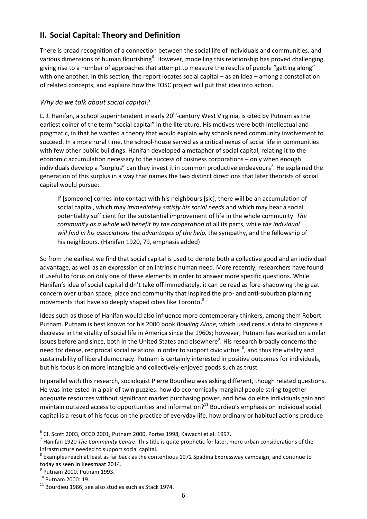## **II. Social Capital: Theory and Definition**

There is broad recognition of a connection between the social life of individuals and communities, and various dimensions of human flourishing<sup>6</sup>. However, modelling this relationship has proved challenging, giving rise to a number of approaches that attempt to measure the results of people "getting along" with one another. In this section, the report locates social capital – as an idea – among a constellation of related concepts, and explains how the TOSC project will put that idea into action.

#### *Why do we talk about social capital?*

L. J. Hanifan, a school superintendent in early 20<sup>th</sup>-century West Virginia, is cited by Putnam as the earliest coiner of the term "social capital" in the literature. His motives were both intellectual and pragmatic, in that he wanted a theory that would explain why schools need community involvement to succeed. In a more rural time, the school-house served as a critical nexus of social life in communities with few other public buildings. Hanifan developed a metaphor of social capital, relating it to the economic accumulation necessary to the success of business corporations – only when enough individuals develop a "surplus" can they invest it in common productive endeavours<sup>7</sup>. He explained the generation of this surplus in a way that names the two distinct directions that later theorists of social capital would pursue:

If [someone] comes into contact with his neighbours [sic], there will be an accumulation of social capital, which may *immediately satisfy his social needs* and which may bear a social potentiality sufficient for the substantial improvement of life in the whole community. *The community as a whole will benefit by the cooperation* of all its parts, while *the individual will find in his associations the advantages of the help,* the sympathy, and the fellowship of his neighbours. (Hanifan 1920, 79, emphasis added)

So from the earliest we find that social capital is used to denote both a collective good and an individual advantage, as well as an expression of an intrinsic human need. More recently, researchers have found it useful to focus on only one of these elements in order to answer more specific questions. While Hanifan's idea of social capital didn't take off immediately, it can be read as fore-shadowing the great concern over urban space, place and community that inspired the pro- and anti-suburban planning movements that have so deeply shaped cities like Toronto. $^{8}$ 

Ideas such as those of Hanifan would also influence more contemporary thinkers, among them Robert Putnam. Putnam is best known for his 2000 book *Bowling Alone*, which used census data to diagnose a decrease in the vitality of social life in America since the 1960s; however, Putnam has worked on similar issues before and since, both in the United States and elsewhere<sup>9</sup>. His research broadly concerns the need for dense, reciprocal social relations in order to support civic virtue<sup>10</sup>, and thus the vitality and sustainability of liberal democracy. Putnam is certainly interested in positive outcomes for individuals, but his focus is on more intangible and collectively-enjoyed goods such as trust.

In parallel with this research, sociologist Pierre Bourdieu was asking different, though related questions. He was interested in a pair of twin puzzles: how do economically marginal people string together adequate resources without significant market purchasing power, and how do elite individuals gain and maintain outsized access to opportunities and information?<sup>11</sup> Bourdieu's emphasis on individual social capital is a result of his focus on the practice of everyday life, how ordinary or habitual actions produce

 $^6$  Cf. Scott 2003, OECD 2001, Putnam 2000, Portes 1998, Kawachi et al. 1997.

<sup>7</sup> Hanifan 1920 *The Community Centre*. This title is quite prophetic for later, more urban considerations of the infrastructure needed to support social capital.

 $^8$  Examples reach at least as far back as the contentious 1972 Spadina Expressway campaign, and continue to today as seen in Keesmaat 2014.

<sup>9</sup> Putnam 2000, Putnam 1993.

<sup>10</sup> Putnam 2000: 19.

<sup>&</sup>lt;sup>11</sup> Bourdieu 1986; see also studies such as Stack 1974.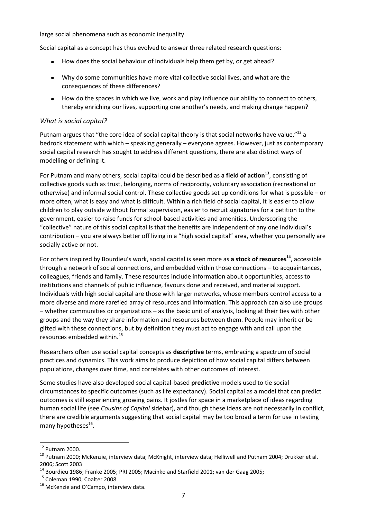large social phenomena such as economic inequality.

Social capital as a concept has thus evolved to answer three related research questions:

- How does the social behaviour of individuals help them get by, or get ahead?  $\bullet$  .
- Why do some communities have more vital collective social lives, and what are the consequences of these differences?
- How do the spaces in which we live, work and play influence our ability to connect to others, thereby enriching our lives, supporting one another's needs, and making change happen?

#### *What is social capital?*

Putnam argues that "the core idea of social capital theory is that social networks have value."<sup>12</sup> a bedrock statement with which – speaking generally – everyone agrees. However, just as contemporary social capital research has sought to address different questions, there are also distinct ways of modelling or defining it.

For Putnam and many others, social capital could be described as **a field of action<sup>13</sup>**, consisting of collective goods such as trust, belonging, norms of reciprocity, voluntary association (recreational or otherwise) and informal social control. These collective goods set up conditions for what is possible – or more often, what is easy and what is difficult. Within a rich field of social capital, it is easier to allow children to play outside without formal supervision, easier to recruit signatories for a petition to the government, easier to raise funds for school-based activities and amenities. Underscoring the "collective" nature of this social capital is that the benefits are independent of any one individual's contribution – you are always better off living in a "high social capital" area, whether you personally are socially active or not.

For others inspired by Bourdieu's work, social capital is seen more as **a stock of resources<sup>14</sup>**, accessible through a network of social connections, and embedded within those connections – to acquaintances, colleagues, friends and family. These resources include information about opportunities, access to institutions and channels of public influence, favours done and received, and material support. Individuals with high social capital are those with larger networks, whose members control access to a more diverse and more rarefied array of resources and information. This approach can also use groups – whether communities or organizations – as the basic unit of analysis, looking at their ties with other groups and the way they share information and resources between them. People may inherit or be gifted with these connections, but by definition they must act to engage with and call upon the resources embedded within.<sup>15</sup>

Researchers often use social capital concepts as **descriptive** terms, embracing a spectrum of social practices and dynamics. This work aims to produce depiction of how social capital differs between populations, changes over time, and correlates with other outcomes of interest.

Some studies have also developed social capital-based **predictive** models used to tie social circumstances to specific outcomes (such as life expectancy). Social capital as a model that can predict outcomes is still experiencing growing pains. It jostles for space in a marketplace of ideas regarding human social life (see *Cousins of Capital* sidebar), and though these ideas are not necessarily in conflict, there are credible arguments suggesting that social capital may be too broad a term for use in testing many hypotheses<sup>16</sup>.

1

 $12$  Putnam 2000.

<sup>&</sup>lt;sup>13</sup> Putnam 2000; McKenzie, interview data; McKnight, interview data; Helliwell and Putnam 2004; Drukker et al. 2006; Scott 2003

 $14$  Bourdieu 1986; Franke 2005; PRI 2005; Macinko and Starfield 2001; van der Gaag 2005;

<sup>15</sup> Coleman 1990; Coalter 2008

<sup>&</sup>lt;sup>16</sup> McKenzie and O'Campo, interview data.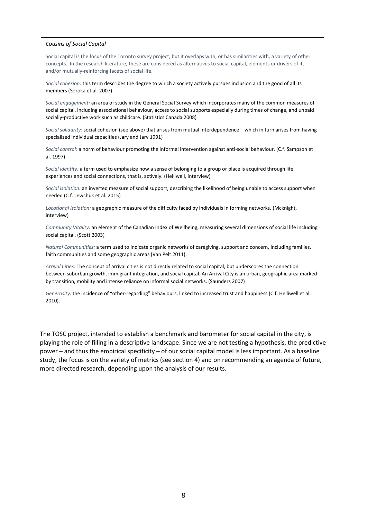#### *Cousins of Social Capital*

Social capital is the focus of the Toronto survey project, but it overlaps with, or has similarities with, a variety of other concepts. In the research literature, these are considered as alternatives to social capital, elements or drivers of it, and/or mutually-reinforcing facets of social life.

*Social cohesion:* this term describes the degree to which a society actively pursues inclusion and the good of all its members (Soroka et al. 2007).

*Social engagement:* an area of study in the General Social Survey which incorporates many of the common measures of social capital, including associational behaviour, access to social supports especially during times of change, and unpaid socially-productive work such as childcare. (Statistics Canada 2008)

*Social solidarity:* social cohesion (see above) that arises from mutual interdependence – which in turn arises from having specialized individual capacities (Jary and Jary 1991)

*Social control:* a norm of behaviour promoting the informal intervention against anti-social behaviour. (C.f. Sampson et al. 1997)

*Social identity:* a term used to emphasize how a sense of belonging to a group or place is acquired through life experiences and social connections, that is, actively. (Helliwell, interview)

*Social isolation:* an inverted measure of social support, describing the likelihood of being unable to access support when needed (C.f. Lewchuk et al. 2015)

*Locational isolation:* a geographic measure of the difficulty faced by individuals in forming networks. (Mcknight, interview)

*Community Vitality:* an element of the Canadian Index of Wellbeing, measuring several dimensions of social life including social capital. (Scott 2003)

*Natural Communities:* a term used to indicate organic networks of caregiving, support and concern, including families, faith communities and some geographic areas (Van Pelt 2011).

*Arrival Cities:* The concept of arrival cities is not directly related to social capital, but underscores the connection between suburban growth, immigrant integration, and social capital. An Arrival City is an urban, geographic area marked by transition, mobility and intense reliance on informal social networks. (Saunders 2007)

*Generosity:* the incidence of "other-regarding" behaviours, linked to increased trust and happiness (C.f. Helliwell et al. 2010).

The TOSC project, intended to establish a benchmark and barometer for social capital in the city, is playing the role of filling in a descriptive landscape. Since we are not testing a hypothesis, the predictive power – and thus the empirical specificity – of our social capital model is less important. As a baseline study, the focus is on the variety of metrics (see section 4) and on recommending an agenda of future, more directed research, depending upon the analysis of our results.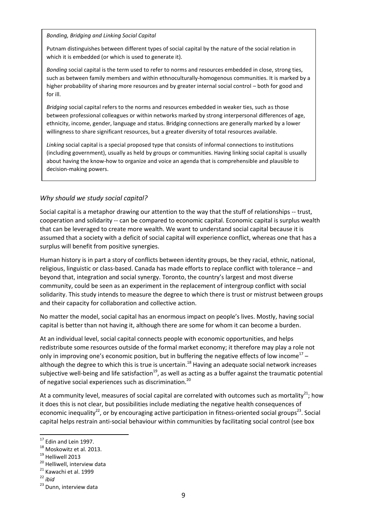*Bonding, Bridging and Linking Social Capital*

Putnam distinguishes between different types of social capital by the nature of the social relation in which it is embedded (or which is used to generate it).

*Bonding* social capital is the term used to refer to norms and resources embedded in close, strong ties, such as between family members and within ethnoculturally-homogenous communities. It is marked by a higher probability of sharing more resources and by greater internal social control – both for good and for ill.

*Bridging* social capital refers to the norms and resources embedded in weaker ties, such as those between professional colleagues or within networks marked by strong interpersonal differences of age, ethnicity, income, gender, language and status. Bridging connections are generally marked by a lower willingness to share significant resources, but a greater diversity of total resources available.

*Linking* social capital is a special proposed type that consists of informal connections to institutions (including government), usually as held by groups or communities. Having linking social capital is usually about having the know-how to organize and voice an agenda that is comprehensible and plausible to decision-making powers.

#### *Why should we study social capital?*

Social capital is a metaphor drawing our attention to the way that the stuff of relationships -- trust, cooperation and solidarity -- can be compared to economic capital. Economic capital is surplus wealth that can be leveraged to create more wealth. We want to understand social capital because it is assumed that a society with a deficit of social capital will experience conflict, whereas one that has a surplus will benefit from positive synergies.

Human history is in part a story of conflicts between identity groups, be they racial, ethnic, national, religious, linguistic or class-based. Canada has made efforts to replace conflict with tolerance – and beyond that, integration and social synergy. Toronto, the country's largest and most diverse community, could be seen as an experiment in the replacement of intergroup conflict with social solidarity. This study intends to measure the degree to which there is trust or mistrust between groups and their capacity for collaboration and collective action.

No matter the model, social capital has an enormous impact on people's lives. Mostly, having social capital is better than not having it, although there are some for whom it can become a burden.

At an individual level, social capital connects people with economic opportunities, and helps redistribute some resources outside of the formal market economy; it therefore may play a role not only in improving one's economic position, but in buffering the negative effects of low income<sup>17</sup> although the degree to which this is true is uncertain.<sup>18</sup> Having an adequate social network increases subjective well-being and life satisfaction<sup>19</sup>, as well as acting as a buffer against the traumatic potential of negative social experiences such as discrimination.<sup>20</sup>

At a community level, measures of social capital are correlated with outcomes such as mortality<sup>21</sup>; how it does this is not clear, but possibilities include mediating the negative health consequences of economic inequality<sup>22</sup>, or by encouraging active participation in fitness-oriented social groups<sup>23</sup>. Social capital helps restrain anti-social behaviour within communities by facilitating social control (see box

 $17$  Fdin and Lein 1997.

<sup>&</sup>lt;sup>18</sup> Moskowitz et al. 2013.

<sup>19</sup> Helliwell 2013

 $20$  Helliwell, interview data

<sup>&</sup>lt;sup>21</sup> Kawachi et al. 1999

<sup>22</sup> *ibid*

<sup>&</sup>lt;sup>23</sup> Dunn, interview data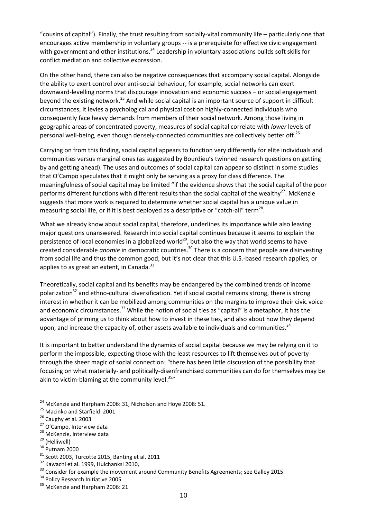"cousins of capital"). Finally, the trust resulting from socially-vital community life – particularly one that encourages active membership in voluntary groups -- is a prerequisite for effective civic engagement with government and other institutions.<sup>24</sup> Leadership in voluntary associations builds soft skills for conflict mediation and collective expression.

On the other hand, there can also be negative consequences that accompany social capital. Alongside the ability to exert control over anti-social behaviour, for example, social networks can exert downward-levelling norms that discourage innovation and economic success – or social engagement beyond the existing network.<sup>25</sup> And while social capital is an important source of support in difficult circumstances, it levies a psychological and physical cost on highly-connected individuals who consequently face heavy demands from members of their social network. Among those living in geographic areas of concentrated poverty, measures of social capital correlate with *lower* levels of personal well-being, even though densely-connected communities are collectively better off.<sup>26</sup>

Carrying on from this finding, social capital appears to function very differently for elite individuals and communities versus marginal ones (as suggested by Bourdieu's twinned research questions on getting by and getting ahead). The uses and outcomes of social capital can appear so distinct in some studies that O'Campo speculates that it might only be serving as a proxy for class difference. The meaningfulness of social capital may be limited "if the evidence shows that the social capital of the poor performs different functions with different results than the social capital of the wealthy<sup>27</sup>. McKenzie suggests that more work is required to determine whether social capital has a unique value in measuring social life, or if it is best deployed as a descriptive or "catch-all" term<sup>28</sup>.

What we already know about social capital, therefore, underlines its importance while also leaving major questions unanswered. Research into social capital continues because it seems to explain the persistence of local economies in a globalized world<sup>29</sup>, but also the way that world seems to have created considerable *anomie* in democratic countries.<sup>30</sup> There is a concern that people are disinvesting from social life and thus the common good, but it's not clear that this U.S.-based research applies, or applies to as great an extent, in Canada. $31$ 

Theoretically, social capital and its benefits may be endangered by the combined trends of income polarization<sup>32</sup> and ethno-cultural diversification. Yet if social capital remains strong, there is strong interest in whether it can be mobilized among communities on the margins to improve their civic voice and economic circumstances.<sup>33</sup> While the notion of social ties as "capital" is a metaphor, it has the advantage of priming us to think about how to invest in these ties, and also about how they depend upon, and increase the capacity of, other assets available to individuals and communities.<sup>34</sup>

It is important to better understand the dynamics of social capital because we may be relying on it to perform the impossible, expecting those with the least resources to lift themselves out of poverty through the sheer magic of social connection: "there has been little discussion of the possibility that focusing on what materially- and politically-disenfranchised communities can do for themselves may be akin to victim-blaming at the community level. $35"$ 

 $^{24}$  McKenzie and Harpham 2006: 31, Nicholson and Hoye 2008: 51.

 $25$  Macinko and Starfield 2001

<sup>&</sup>lt;sup>26</sup> Caughy et al. 2003

<sup>&</sup>lt;sup>27</sup> O'Campo, Interview data

<sup>&</sup>lt;sup>28</sup> McKenzie, Interview data

<sup>&</sup>lt;sup>29</sup> (Helliwell)

<sup>30</sup> Putnam 2000

<sup>31</sup> Scott 2003, Turcotte 2015, Banting et al. 2011

<sup>32</sup> Kawachi et al. 1999, Hulchanksi 2010,

<sup>&</sup>lt;sup>33</sup> Consider for example the movement around Community Benefits Agreements; see Galley 2015.

<sup>&</sup>lt;sup>34</sup> Policy Research Initiative 2005

<sup>&</sup>lt;sup>35</sup> McKenzie and Harpham 2006: 21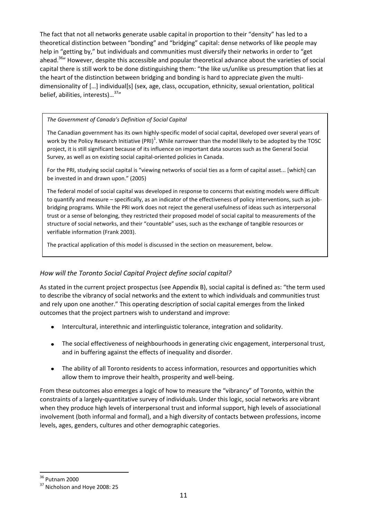The fact that not all networks generate usable capital in proportion to their "density" has led to a theoretical distinction between "bonding" and "bridging" capital: dense networks of like people may help in "getting by," but individuals and communities must diversify their networks in order to "get ahead.<sup>36</sup>" However, despite this accessible and popular theoretical advance about the varieties of social capital there is still work to be done distinguishing them: "the like us/unlike us presumption that lies at the heart of the distinction between bridging and bonding is hard to appreciate given the multidimensionality of [...] individual[s] (sex, age, class, occupation, ethnicity, sexual orientation, political belief, abilities, interests)...<sup>37</sup>"

#### *The Government of Canada's Definition of Social Capital*

The Canadian government has its own highly-specific model of social capital, developed over several years of work by the Policy Research Initiative (PRI)<sup>1</sup>. While narrower than the model likely to be adopted by the TOSC project, it is still significant because of its influence on important data sources such as the General Social Survey, as well as on existing social capital-oriented policies in Canada.

For the PRI, studying social capital is "viewing networks of social ties as a form of capital asset... [which] can be invested in and drawn upon." (2005)

The federal model of social capital was developed in response to concerns that existing models were difficult to quantify and measure – specifically, as an indicator of the effectiveness of policy interventions, such as jobbridging programs. While the PRI work does not reject the general usefulness of ideas such as interpersonal trust or a sense of belonging, they restricted their proposed model of social capital to measurements of the structure of social networks, and their "countable" uses, such as the exchange of tangible resources or verifiable information (Frank 2003).

The practical application of this model is discussed in the section on measurement, below.

#### *How will the Toronto Social Capital Project define social capital?*

As stated in the current project prospectus (see Appendix B), social capital is defined as: "the term used to describe the vibrancy of social networks and the extent to which individuals and communities trust and rely upon one another." This operating description of social capital emerges from the linked outcomes that the project partners wish to understand and improve:

- Intercultural, interethnic and interlinguistic tolerance, integration and solidarity.
- The social effectiveness of neighbourhoods in generating civic engagement, interpersonal trust, and in buffering against the effects of inequality and disorder.
- $\bullet$ The ability of all Toronto residents to access information, resources and opportunities which allow them to improve their health, prosperity and well-being.

From these outcomes also emerges a logic of how to measure the "vibrancy" of Toronto, within the constraints of a largely-quantitative survey of individuals. Under this logic, social networks are vibrant when they produce high levels of interpersonal trust and informal support, high levels of associational involvement (both informal and formal), and a high diversity of contacts between professions, income levels, ages, genders, cultures and other demographic categories.

<sup>36</sup> Putnam 2000

<sup>&</sup>lt;sup>37</sup> Nicholson and Hoye 2008: 25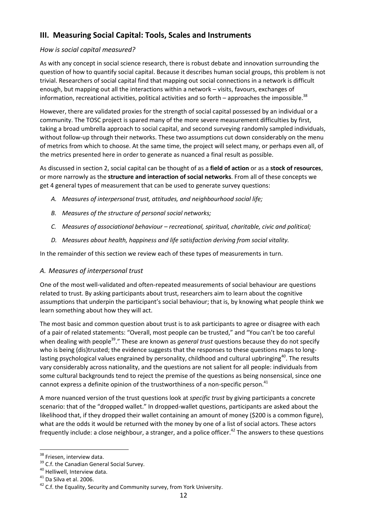## **III. Measuring Social Capital: Tools, Scales and Instruments**

#### *How is social capital measured?*

As with any concept in social science research, there is robust debate and innovation surrounding the question of how to quantify social capital. Because it describes human social groups, this problem is not trivial. Researchers of social capital find that mapping out social connections in a network is difficult enough, but mapping out all the interactions within a network – visits, favours, exchanges of information, recreational activities, political activities and so forth – approaches the impossible.<sup>38</sup>

However, there are validated proxies for the strength of social capital possessed by an individual or a community. The TOSC project is spared many of the more severe measurement difficulties by first, taking a broad umbrella approach to social capital, and second surveying randomly sampled individuals, without follow-up through their networks. These two assumptions cut down considerably on the menu of metrics from which to choose. At the same time, the project will select many, or perhaps even all, of the metrics presented here in order to generate as nuanced a final result as possible.

As discussed in section 2, social capital can be thought of as a **field of action** or as a **stock of resources**, or more narrowly as the **structure and interaction of social networks**. From all of these concepts we get 4 general types of measurement that can be used to generate survey questions:

- *A. Measures of interpersonal trust, attitudes, and neighbourhood social life;*
- *B. Measures of the structure of personal social networks;*
- *C. Measures of associational behaviour – recreational, spiritual, charitable, civic and political;*
- *D. Measures about health, happiness and life satisfaction deriving from social vitality.*

In the remainder of this section we review each of these types of measurements in turn.

#### *A. Measures of interpersonal trust*

One of the most well-validated and often-repeated measurements of social behaviour are questions related to trust. By asking participants about trust, researchers aim to learn about the cognitive assumptions that underpin the participant's social behaviour; that is, by knowing what people think we learn something about how they will act.

The most basic and common question about trust is to ask participants to agree or disagree with each of a pair of related statements: "Overall, most people can be trusted," and "You can't be too careful when dealing with people<sup>39</sup>." These are known as *general trust* questions because they do not specify who is being (dis)trusted; the evidence suggests that the responses to these questions maps to longlasting psychological values engrained by personality, childhood and cultural upbringing<sup>40</sup>. The results vary considerably across nationality, and the questions are not salient for all people: individuals from some cultural backgrounds tend to reject the premise of the questions as being nonsensical, since one cannot express a definite opinion of the trustworthiness of a non-specific person.<sup>41</sup>

A more nuanced version of the trust questions look at *specific trust* by giving participants a concrete scenario: that of the "dropped wallet." In dropped-wallet questions, participants are asked about the likelihood that, if they dropped their wallet containing an amount of money (\$200 is a common figure), what are the odds it would be returned with the money by one of a list of social actors. These actors frequently include: a close neighbour, a stranger, and a police officer.<sup>42</sup> The answers to these questions

**<sup>.</sup>** <sup>38</sup> Friesen, interview data.

<sup>&</sup>lt;sup>39</sup> C.f. the Canadian General Social Survey.

<sup>40</sup> Helliwell, Interview data.

 $41$  Da Silva et al. 2006.

 $42$  C.f. the Equality, Security and Community survey, from York University.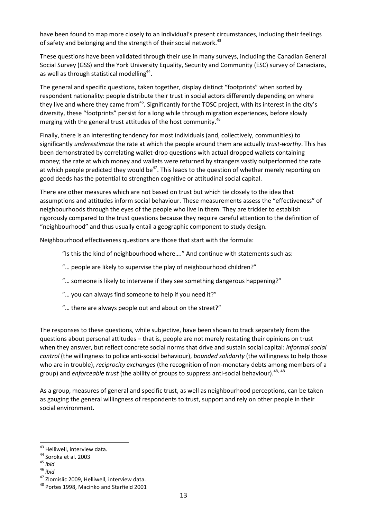have been found to map more closely to an individual's present circumstances, including their feelings of safety and belonging and the strength of their social network.<sup>43</sup>

These questions have been validated through their use in many surveys, including the Canadian General Social Survey (GSS) and the York University Equality, Security and Community (ESC) survey of Canadians, as well as through statistical modelling<sup>44</sup>.

The general and specific questions, taken together, display distinct "footprints" when sorted by respondent nationality: people distribute their trust in social actors differently depending on where they live and where they came from<sup>45</sup>. Significantly for the TOSC project, with its interest in the city's diversity, these "footprints" persist for a long while through migration experiences, before slowly merging with the general trust attitudes of the host community.<sup>46</sup>

Finally, there is an interesting tendency for most individuals (and, collectively, communities) to significantly *underestimate* the rate at which the people around them are actually *trust-worthy*. This has been demonstrated by correlating wallet-drop questions with actual dropped wallets containing money; the rate at which money and wallets were returned by strangers vastly outperformed the rate at which people predicted they would be<sup>47</sup>. This leads to the question of whether merely reporting on good deeds has the potential to strengthen cognitive or attitudinal social capital.

There are other measures which are not based on trust but which tie closely to the idea that assumptions and attitudes inform social behaviour. These measurements assess the "effectiveness" of neighbourhoods through the eyes of the people who live in them. They are trickier to establish rigorously compared to the trust questions because they require careful attention to the definition of "neighbourhood" and thus usually entail a geographic component to study design.

Neighbourhood effectiveness questions are those that start with the formula:

"Is this the kind of neighbourhood where…." And continue with statements such as:

- "… people are likely to supervise the play of neighbourhood children?"
- "… someone is likely to intervene if they see something dangerous happening?"
- "… you can always find someone to help if you need it?"
- "… there are always people out and about on the street?"

The responses to these questions, while subjective, have been shown to track separately from the questions about personal attitudes – that is, people are not merely restating their opinions on trust when they answer, but reflect concrete social norms that drive and sustain social capital: *informal social control* (the willingness to police anti-social behaviour), *bounded solidarity* (the willingness to help those who are in trouble), *reciprocity exchanges* (the recognition of non-monetary debts among members of a group) and *enforceable trust* (the ability of groups to suppress anti-social behaviour). 48, 48

As a group, measures of general and specific trust, as well as neighbourhood perceptions, can be taken as gauging the general willingness of respondents to trust, support and rely on other people in their social environment.

1

<sup>&</sup>lt;sup>43</sup> Helliwell, interview data.

<sup>44</sup> Soroka et al. 2003

<sup>45</sup> *ibid*

<sup>46</sup> *ibid*

<sup>&</sup>lt;sup>47</sup> Zlomislic 2009, Helliwell, interview data.

<sup>48</sup> Portes 1998, Macinko and Starfield 2001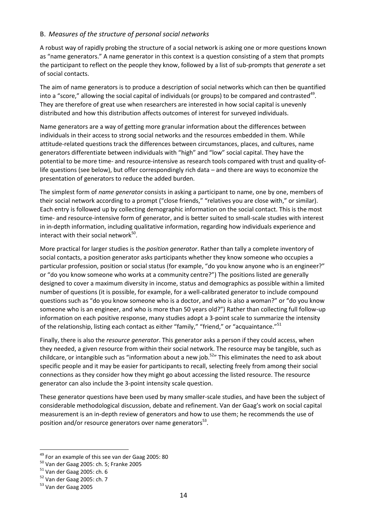#### B. *Measures of the structure of personal social networks*

A robust way of rapidly probing the structure of a social network is asking one or more questions known as "name generators." A name generator in this context is a question consisting of a stem that prompts the participant to reflect on the people they know, followed by a list of sub-prompts that *generate* a set of social contacts.

The aim of name generators is to produce a description of social networks which can then be quantified into a "score," allowing the social capital of individuals (or groups) to be compared and contrasted<sup>49</sup>. They are therefore of great use when researchers are interested in how social capital is unevenly distributed and how this distribution affects outcomes of interest for surveyed individuals.

Name generators are a way of getting more granular information about the differences between individuals in their access to strong social networks and the resources embedded in them. While attitude-related questions track the differences between circumstances, places, and cultures, name generators differentiate between individuals with "high" and "low" social capital. They have the potential to be more time- and resource-intensive as research tools compared with trust and quality-oflife questions (see below), but offer correspondingly rich data – and there are ways to economize the presentation of generators to reduce the added burden.

The simplest form of *name generator* consists in asking a participant to name, one by one, members of their social network according to a prompt ("close friends," "relatives you are close with," or similar). Each entry is followed up by collecting demographic information on the social contact. This is the most time- and resource-intensive form of generator, and is better suited to small-scale studies with interest in in-depth information, including qualitative information, regarding how individuals experience and interact with their social network<sup>50</sup>.

More practical for larger studies is the *position generator*. Rather than tally a complete inventory of social contacts, a position generator asks participants whether they know someone who occupies a particular profession, position or social status (for example, "do you know anyone who is an engineer?" or "do you know someone who works at a community centre?") The positions listed are generally designed to cover a maximum diversity in income, status and demographics as possible within a limited number of questions (it is possible, for example, for a well-calibrated generator to include compound questions such as "do you know someone who is a doctor, and who is also a woman?" or "do you know someone who is an engineer, and who is more than 50 years old?") Rather than collecting full follow-up information on each positive response, many studies adopt a 3-point scale to summarize the intensity of the relationship, listing each contact as either "family," "friend," or "acquaintance."<sup>51</sup>

Finally, there is also the *resource generator*. This generator asks a person if they could access, when they needed, a given resource from within their social network. The resource may be tangible, such as childcare, or intangible such as "information about a new job.<sup>52</sup>" This eliminates the need to ask about specific people and it may be easier for participants to recall, selecting freely from among their social connections as they consider how they might go about accessing the listed resource. The resource generator can also include the 3-point intensity scale question.

These generator questions have been used by many smaller-scale studies, and have been the subject of considerable methodological discussion, debate and refinement. Van der Gaag's work on social capital measurement is an in-depth review of generators and how to use them; he recommends the use of position and/or resource generators over name generators<sup>53</sup>.

 $^{49}$  For an example of this see van der Gaag 2005: 80

<sup>50</sup> Van der Gaag 2005: ch. 5; Franke 2005

<sup>51</sup> Van der Gaag 2005: ch. 6

<sup>&</sup>lt;sup>52</sup> Van der Gaag 2005: ch. 7

<sup>53</sup> Van der Gaag 2005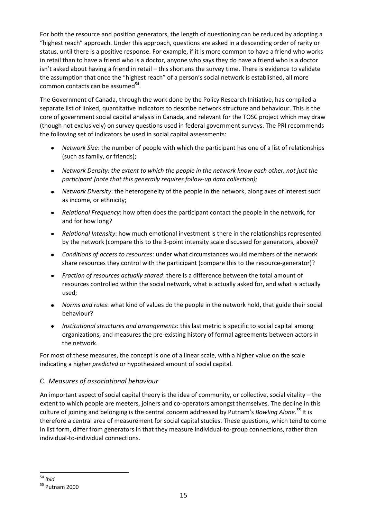For both the resource and position generators, the length of questioning can be reduced by adopting a "highest reach" approach. Under this approach, questions are asked in a descending order of rarity or status, until there is a positive response. For example, if it is more common to have a friend who works in retail than to have a friend who is a doctor, anyone who says they do have a friend who is a doctor isn't asked about having a friend in retail – this shortens the survey time. There is evidence to validate the assumption that once the "highest reach" of a person's social network is established, all more common contacts can be assumed<sup>54</sup>.

The Government of Canada, through the work done by the Policy Research Initiative, has compiled a separate list of linked, quantitative indicators to describe network structure and behaviour. This is the core of government social capital analysis in Canada, and relevant for the TOSC project which may draw (though not exclusively) on survey questions used in federal government surveys. The PRI recommends the following set of indicators be used in social capital assessments:

- *Network Size*: the number of people with which the participant has one of a list of relationships (such as family, or friends);
- *Network Density: the extent to which the people in the network know each other, not just the participant (note that this generally requires follow-up data collection);*
- *Network Diversity*: the heterogeneity of the people in the network, along axes of interest such as income, or ethnicity;
- *Relational Frequency*: how often does the participant contact the people in the network, for and for how long?
- *Relational Intensity*: how much emotional investment is there in the relationships represented  $\bullet$ by the network (compare this to the 3-point intensity scale discussed for generators, above)?
- *Conditions of access to resources*: under what circumstances would members of the network share resources they control with the participant (compare this to the resource-generator)?
- *Fraction of resources actually shared*: there is a difference between the total amount of  $\bullet$ resources controlled within the social network, what is actually asked for, and what is actually used;
- *Norms and rules*: what kind of values do the people in the network hold, that guide their social behaviour?
- *Institutional structures and arrangements*: this last metric is specific to social capital among organizations, and measures the pre-existing history of formal agreements between actors in the network.

For most of these measures, the concept is one of a linear scale, with a higher value on the scale indicating a higher *predicted* or hypothesized amount of social capital.

#### C. *Measures of associational behaviour*

An important aspect of social capital theory is the idea of community, or collective, social vitality – the extent to which people are meeters, joiners and co-operators amongst themselves. The decline in this culture of joining and belonging is the central concern addressed by Putnam's *Bowling Alone. <sup>55</sup>* It is therefore a central area of measurement for social capital studies. These questions, which tend to come in list form, differ from generators in that they measure individual-to-group connections, rather than individual-to-individual connections.

**<sup>.</sup>** <sup>54</sup> *ibid*

<sup>55</sup> Putnam 2000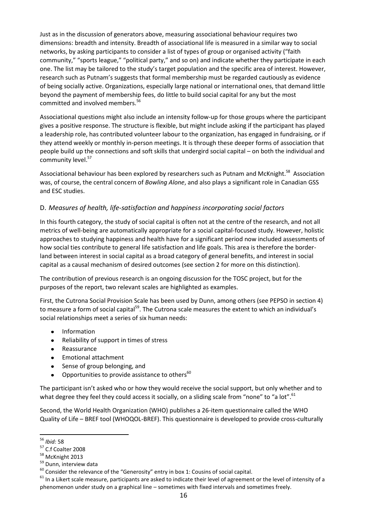Just as in the discussion of generators above, measuring associational behaviour requires two dimensions: breadth and intensity. Breadth of associational life is measured in a similar way to social networks, by asking participants to consider a list of types of group or organised activity ("faith community," "sports league," "political party," and so on) and indicate whether they participate in each one. The list may be tailored to the study's target population and the specific area of interest. However, research such as Putnam's suggests that formal membership must be regarded cautiously as evidence of being socially active. Organizations, especially large national or international ones, that demand little beyond the payment of membership fees, do little to build social capital for any but the most committed and involved members.<sup>56</sup>

Associational questions might also include an intensity follow-up for those groups where the participant gives a positive response. The structure is flexible, but might include asking if the participant has played a leadership role, has contributed volunteer labour to the organization, has engaged in fundraising, or if they attend weekly or monthly in-person meetings. It is through these deeper forms of association that people build up the connections and soft skills that undergird social capital – on both the individual and community level.<sup>57</sup>

Associational behaviour has been explored by researchers such as Putnam and McKnight.<sup>58</sup> Association was, of course, the central concern of *Bowling Alone*, and also plays a significant role in Canadian GSS and ESC studies.

#### D. *Measures of health, life-satisfaction and happiness incorporating social factors*

In this fourth category, the study of social capital is often not at the centre of the research, and not all metrics of well-being are automatically appropriate for a social capital-focused study. However, holistic approaches to studying happiness and health have for a significant period now included assessments of how social ties contribute to general life satisfaction and life goals. This area is therefore the borderland between interest in social capital as a broad category of general benefits, and interest in social capital as a causal mechanism of desired outcomes (see section 2 for more on this distinction).

The contribution of previous research is an ongoing discussion for the TOSC project, but for the purposes of the report, two relevant scales are highlighted as examples.

First, the Cutrona Social Provision Scale has been used by Dunn, among others (see PEPSO in section 4) to measure a form of social capital<sup>59</sup>. The Cutrona scale measures the extent to which an individual's social relationships meet a series of six human needs:

- Information
- Reliability of support in times of stress  $\bullet$
- Reassurance  $\bullet$
- Emotional attachment  $\bullet$
- Sense of group belonging, and
- Opportunities to provide assistance to others<sup>60</sup>  $\bullet$

The participant isn't asked who or how they would receive the social support, but only whether and to what degree they feel they could access it socially, on a sliding scale from "none" to "a lot".<sup>61</sup>

Second, the World Health Organization (WHO) publishes a 26-item questionnaire called the WHO Quality of Life – BREF tool (WHOQOL-BREF). This questionnaire is developed to provide cross-culturally

**<sup>.</sup>** <sup>56</sup> *Ibid:* 58

<sup>57</sup> C.f Coalter 2008

<sup>58</sup> McKnight 2013

<sup>&</sup>lt;sup>59</sup> Dunn, interview data

 $60$  Consider the relevance of the "Generosity" entry in box 1: Cousins of social capital.

 $61$  In a Likert scale measure, participants are asked to indicate their level of agreement or the level of intensity of a phenomenon under study on a graphical line – sometimes with fixed intervals and sometimes freely.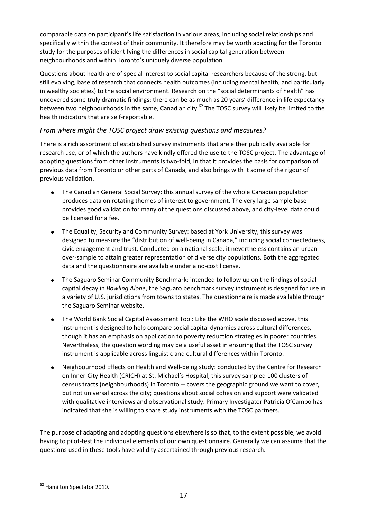comparable data on participant's life satisfaction in various areas, including social relationships and specifically within the context of their community. It therefore may be worth adapting for the Toronto study for the purposes of identifying the differences in social capital generation between neighbourhoods and within Toronto's uniquely diverse population.

Questions about health are of special interest to social capital researchers because of the strong, but still evolving, base of research that connects health outcomes (including mental health, and particularly in wealthy societies) to the social environment. Research on the "social determinants of health" has uncovered some truly dramatic findings: there can be as much as 20 years' difference in life expectancy between two neighbourhoods in the same, Canadian city.<sup>62</sup> The TOSC survey will likely be limited to the health indicators that are self-reportable.

#### *From where might the TOSC project draw existing questions and measures?*

There is a rich assortment of established survey instruments that are either publically available for research use, or of which the authors have kindly offered the use to the TOSC project. The advantage of adopting questions from other instruments is two-fold, in that it provides the basis for comparison of previous data from Toronto or other parts of Canada, and also brings with it some of the rigour of previous validation.

- The Canadian General Social Survey: this annual survey of the whole Canadian population  $\bullet$ produces data on rotating themes of interest to government. The very large sample base provides good validation for many of the questions discussed above, and city-level data could be licensed for a fee.
- The Equality, Security and Community Survey: based at York University, this survey was  $\bullet$ designed to measure the "distribution of well-being in Canada," including social connectedness, civic engagement and trust. Conducted on a national scale, it nevertheless contains an urban over-sample to attain greater representation of diverse city populations. Both the aggregated data and the questionnaire are available under a no-cost license.
- The Saguaro Seminar Community Benchmark: intended to follow up on the findings of social  $\bullet$ capital decay in *Bowling Alone*, the Saguaro benchmark survey instrument is designed for use in a variety of U.S. jurisdictions from towns to states. The questionnaire is made available through the Saguaro Seminar website.
- The World Bank Social Capital Assessment Tool: Like the WHO scale discussed above, this  $\bullet$ instrument is designed to help compare social capital dynamics across cultural differences, though it has an emphasis on application to poverty reduction strategies in poorer countries. Nevertheless, the question wording may be a useful asset in ensuring that the TOSC survey instrument is applicable across linguistic and cultural differences within Toronto.
- Neighbourhood Effects on Health and Well-being study: conducted by the Centre for Research  $\bullet$ on Inner-City Health (CRICH) at St. Michael's Hospital, this survey sampled 100 clusters of census tracts (neighbourhoods) in Toronto -- covers the geographic ground we want to cover, but not universal across the city; questions about social cohesion and support were validated with qualitative interviews and observational study. Primary Investigator Patricia O'Campo has indicated that she is willing to share study instruments with the TOSC partners.

The purpose of adapting and adopting questions elsewhere is so that, to the extent possible, we avoid having to pilot-test the individual elements of our own questionnaire. Generally we can assume that the questions used in these tools have validity ascertained through previous research.

**<sup>.</sup>** <sup>62</sup> Hamilton Spectator 2010.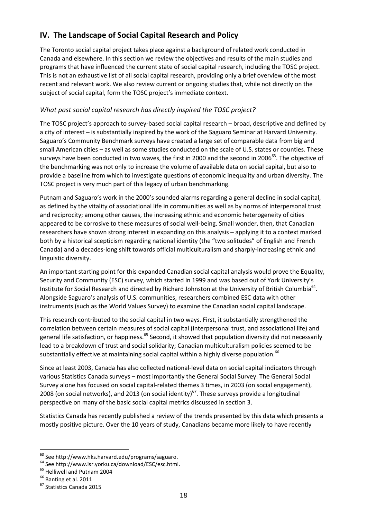## **IV. The Landscape of Social Capital Research and Policy**

The Toronto social capital project takes place against a background of related work conducted in Canada and elsewhere. In this section we review the objectives and results of the main studies and programs that have influenced the current state of social capital research, including the TOSC project. This is not an exhaustive list of all social capital research, providing only a brief overview of the most recent and relevant work. We also review current or ongoing studies that, while not directly on the subject of social capital, form the TOSC project's immediate context.

#### *What past social capital research has directly inspired the TOSC project?*

The TOSC project's approach to survey-based social capital research – broad, descriptive and defined by a city of interest – is substantially inspired by the work of the Saguaro Seminar at Harvard University. Saguaro's Community Benchmark surveys have created a large set of comparable data from big and small American cities – as well as some studies conducted on the scale of U.S. states or counties. These surveys have been conducted in two waves, the first in 2000 and the second in 2006<sup>63</sup>. The objective of the benchmarking was not only to increase the volume of available data on social capital, but also to provide a baseline from which to investigate questions of economic inequality and urban diversity. The TOSC project is very much part of this legacy of urban benchmarking.

Putnam and Saguaro's work in the 2000's sounded alarms regarding a general decline in social capital, as defined by the vitality of associational life in communities as well as by norms of interpersonal trust and reciprocity; among other causes, the increasing ethnic and economic heterogeneity of cities appeared to be corrosive to these measures of social well-being. Small wonder, then, that Canadian researchers have shown strong interest in expanding on this analysis – applying it to a context marked both by a historical scepticism regarding national identity (the "two solitudes" of English and French Canada) and a decades-long shift towards official multiculturalism and sharply-increasing ethnic and linguistic diversity.

An important starting point for this expanded Canadian social capital analysis would prove the Equality, Security and Community (ESC) survey, which started in 1999 and was based out of York University's Institute for Social Research and directed by Richard Johnston at the University of British Columbia<sup>64</sup>. Alongside Saguaro's analysis of U.S. communities, researchers combined ESC data with other instruments (such as the World Values Survey) to examine the Canadian social capital landscape.

This research contributed to the social capital in two ways. First, it substantially strengthened the correlation between certain measures of social capital (interpersonal trust, and associational life) and general life satisfaction, or happiness.<sup>65</sup> Second, it showed that population diversity did not necessarily lead to a breakdown of trust and social solidarity; Canadian multiculturalism policies seemed to be substantially effective at maintaining social capital within a highly diverse population.<sup>66</sup>

Since at least 2003, Canada has also collected national-level data on social capital indicators through various Statistics Canada surveys – most importantly the General Social Survey. The General Social Survey alone has focused on social capital-related themes 3 times, in 2003 (on social engagement), 2008 (on social networks), and 2013 (on social identity)<sup>67</sup>. These surveys provide a longitudinal perspective on many of the basic social capital metrics discussed in section 3.

Statistics Canada has recently published a review of the trends presented by this data which presents a mostly positive picture. Over the 10 years of study, Canadians became more likely to have recently

<sup>&</sup>lt;sup>63</sup> See http://www.hks.harvard.edu/programs/saguaro.

<sup>64</sup> See http://www.isr.yorku.ca/download/ESC/esc.html.

<sup>&</sup>lt;sup>65</sup> Helliwell and Putnam 2004

 $<sup>66</sup>$  Banting et al. 2011</sup>

<sup>67</sup> Statistics Canada 2015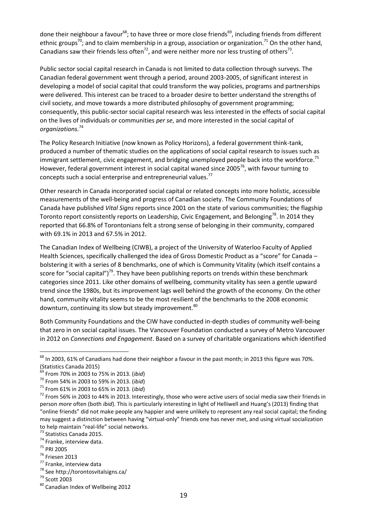done their neighbour a favour<sup>68</sup>; to have three or more close friends<sup>69</sup>, including friends from different ethnic groups<sup>70</sup>; and to claim membership in a group, association or organization.<sup>71</sup> On the other hand, Canadians saw their friends less often<sup>72</sup>, and were neither more nor less trusting of others<sup>73</sup>.

Public sector social capital research in Canada is not limited to data collection through surveys. The Canadian federal government went through a period, around 2003-2005, of significant interest in developing a model of social capital that could transform the way policies, programs and partnerships were delivered. This interest can be traced to a broader desire to better understand the strengths of civil society, and move towards a more distributed philosophy of government programming; consequently, this public-sector social capital research was less interested in the effects of social capital on the lives of individuals or communities *per se*, and more interested in the social capital of *organizations.*<sup>74</sup>

The Policy Research Initiative (now known as Policy Horizons), a federal government think-tank, produced a number of thematic studies on the applications of social capital research to issues such as immigrant settlement, civic engagement, and bridging unemployed people back into the workforce.<sup>75</sup> However, federal government interest in social capital waned since 2005 $^{76}$ , with favour turning to concepts such a social enterprise and entrepreneurial values.<sup>77</sup>

Other research in Canada incorporated social capital or related concepts into more holistic, accessible measurements of the well-being and progress of Canadian society. The Community Foundations of Canada have published *Vital Signs* reports since 2001 on the state of various communities; the flagship Toronto report consistently reports on Leadership, Civic Engagement, and Belonging<sup>78</sup>. In 2014 they reported that 66.8% of Torontonians felt a strong sense of belonging in their community, compared with 69.1% in 2013 and 67.5% in 2012.

The Canadian Index of Wellbeing (CIWB), a project of the University of Waterloo Faculty of Applied Health Sciences, specifically challenged the idea of Gross Domestic Product as a "score" for Canada – bolstering it with a series of 8 benchmarks, one of which is Community Vitality (which itself contains a score for "social capital")<sup>79</sup>. They have been publishing reports on trends within these benchmark categories since 2011. Like other domains of wellbeing, community vitality has seen a gentle upward trend since the 1980s, but its improvement lags well behind the growth of the economy. On the other hand, community vitality seems to be the most resilient of the benchmarks to the 2008 economic downturn, continuing its slow but steady improvement.<sup>80</sup>

Both Community Foundations and the CIW have conducted in-depth studies of community well-being that zero in on social capital issues. The Vancouver Foundation conducted a survey of Metro Vancouver in 2012 on *Connections and Engagement*. Based on a survey of charitable organizations which identified

1

<sup>76</sup> Friesen 2013

 $^{68}$  In 2003, 61% of Canadians had done their neighbor a favour in the past month; in 2013 this figure was 70%. (Statistics Canada 2015)

<sup>69</sup> From 70% in 2003 to 75% in 2013. (*ibid*)

<sup>70</sup> From 54% in 2003 to 59% in 2013. (*ibid*)

<sup>71</sup> From 61% in 2003 to 65% in 2013. (*ibid*)

 $72$  From 56% in 2003 to 44% in 2013. Interestingly, those who were active users of social media saw their friends in person *more* often (both *ibid*). This is particularly interesting in light of Helliwell and Huang's (2013) finding that "online friends" did not make people any happier and were unlikely to represent any real social capital; the finding may suggest a distinction between having "virtual-only" friends one has never met, and using virtual socialization to help maintain "real-life" social networks.

<sup>73</sup> Statistics Canada 2015.

<sup>&</sup>lt;sup>74</sup> Franke, interview data.

<sup>75</sup> PRI 2005

<sup>77</sup> Franke, interview data

<sup>78</sup> See http://torontosvitalsigns.ca/

<sup>79</sup> Scott 2003

<sup>80</sup> Canadian Index of Wellbeing 2012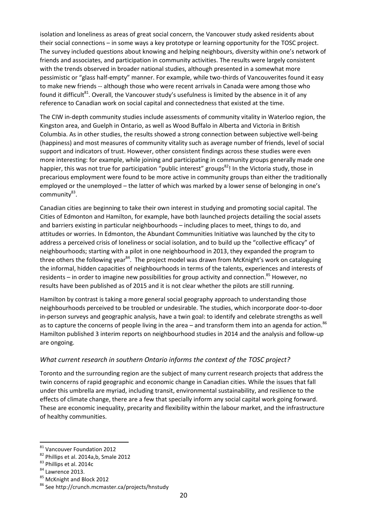isolation and loneliness as areas of great social concern, the Vancouver study asked residents about their social connections – in some ways a key prototype or learning opportunity for the TOSC project. The survey included questions about knowing and helping neighbours, diversity within one's network of friends and associates, and participation in community activities. The results were largely consistent with the trends observed in broader national studies, although presented in a somewhat more pessimistic or "glass half-empty" manner. For example, while two-thirds of Vancouverites found it easy to make new friends -- although those who were recent arrivals in Canada were among those who found it difficult<sup>81</sup>. Overall, the Vancouver study's usefulness is limited by the absence in it of any reference to Canadian work on social capital and connectedness that existed at the time.

The CIW in-depth community studies include assessments of community vitality in Waterloo region, the Kingston area, and Guelph in Ontario, as well as Wood Buffalo in Alberta and Victoria in British Columbia. As in other studies, the results showed a strong connection between subjective well-being (happiness) and most measures of community vitality such as average number of friends, level of social support and indicators of trust. However, other consistent findings across these studies were even more interesting: for example, while joining and participating in community groups generally made one happier, this was not true for participation "public interest" groups<sup>82</sup>! In the Victoria study, those in precarious employment were found to be more active in community groups than either the traditionally employed or the unemployed – the latter of which was marked by a lower sense of belonging in one's community83.

Canadian cities are beginning to take their own interest in studying and promoting social capital. The Cities of Edmonton and Hamilton, for example, have both launched projects detailing the social assets and barriers existing in particular neighbourhoods – including places to meet, things to do, and attitudes or worries. In Edmonton, the Abundant Communities Initiative was launched by the city to address a perceived crisis of loneliness or social isolation, and to build up the "collective efficacy" of neighbourhoods; starting with a pilot in one neighbourhood in 2013, they expanded the program to three others the following year<sup>84</sup>. The project model was drawn from McKnight's work on cataloguing the informal, hidden capacities of neighbourhoods in terms of the talents, experiences and interests of residents – in order to imagine new possibilities for group activity and connection.<sup>85</sup> However, no results have been published as of 2015 and it is not clear whether the pilots are still running.

Hamilton by contrast is taking a more general social geography approach to understanding those neighbourhoods perceived to be troubled or undesirable. The studies, which incorporate door-to-door in-person surveys and geographic analysis, have a twin goal: to identify and celebrate strengths as well as to capture the concerns of people living in the area – and transform them into an agenda for action.<sup>86</sup> Hamilton published 3 interim reports on neighbourhood studies in 2014 and the analysis and follow-up are ongoing.

#### *What current research in southern Ontario informs the context of the TOSC project?*

Toronto and the surrounding region are the subject of many current research projects that address the twin concerns of rapid geographic and economic change in Canadian cities. While the issues that fall under this umbrella are myriad, including transit, environmental sustainability, and resilience to the effects of climate change, there are a few that specially inform any social capital work going forward. These are economic inequality, precarity and flexibility within the labour market, and the infrastructure of healthy communities.

1

<sup>&</sup>lt;sup>81</sup> Vancouver Foundation 2012

<sup>82</sup> Phillips et al. 2014a,b, Smale 2012

<sup>83</sup> Phillips et al. 2014c

<sup>84</sup> Lawrence 2013.

<sup>85</sup> McKnight and Block 2012

<sup>86</sup> See http://crunch.mcmaster.ca/projects/hnstudy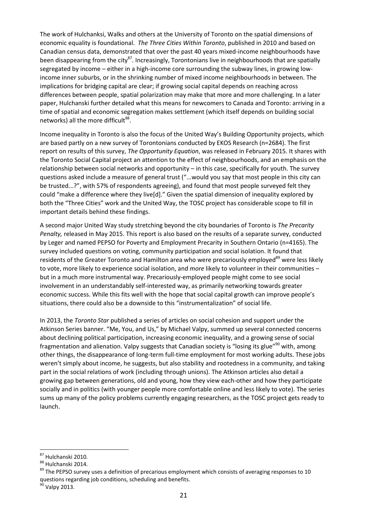The work of Hulchanksi, Walks and others at the University of Toronto on the spatial dimensions of economic equality is foundational. *The Three Cities Within Toronto*, published in 2010 and based on Canadian census data, demonstrated that over the past 40 years mixed-income neighbourhoods have been disappearing from the city<sup>87</sup>. Increasingly, Torontonians live in neighbourhoods that are spatially segregated by income – either in a high-income core surrounding the subway lines, in growing lowincome inner suburbs, or in the shrinking number of mixed income neighbourhoods in between. The implications for bridging capital are clear; if growing social capital depends on reaching across differences between people, spatial polarization may make that more and more challenging. In a later paper, Hulchanski further detailed what this means for newcomers to Canada and Toronto: arriving in a time of spatial and economic segregation makes settlement (which itself depends on building social networks) all the more difficult<sup>88</sup>.

Income inequality in Toronto is also the focus of the United Way's Building Opportunity projects, which are based partly on a new survey of Torontonians conducted by EKOS Research (n=2684). The first report on results of this survey, *The Opportunity Equation*, was released in February 2015. It shares with the Toronto Social Capital project an attention to the effect of neighbourhoods, and an emphasis on the relationship between social networks and opportunity – in this case, specifically for youth. The survey questions asked include a measure of general trust ("...would you say that most people in this city can be trusted...?", with 57% of respondents agreeing), and found that most people surveyed felt they could "make a difference where they live[d]." Given the spatial dimension of inequality explored by both the "Three Cities" work and the United Way, the TOSC project has considerable scope to fill in important details behind these findings.

A second major United Way study stretching beyond the city boundaries of Toronto is *The Precarity Penalty,* released in May 2015. This report is also based on the results of a separate survey, conducted by Leger and named PEPSO for Poverty and Employment Precarity in Southern Ontario (n=4165). The survey included questions on voting, community participation and social isolation. It found that residents of the Greater Toronto and Hamilton area who were precariously employed<sup>89</sup> were less likely to vote, more likely to experience social isolation, and *more* likely to volunteer in their communities – but in a much more instrumental way. Precariously-employed people might come to see social involvement in an understandably self-interested way, as primarily networking towards greater economic success. While this fits well with the hope that social capital growth can improve people's situations, there could also be a downside to this "instrumentalization" of social life.

In 2013, the *Toronto Star* published a series of articles on social cohesion and support under the Atkinson Series banner. "Me, You, and Us," by Michael Valpy, summed up several connected concerns about declining political participation, increasing economic inequality, and a growing sense of social fragmentation and alienation. Valpy suggests that Canadian society is "losing its glue"<sup>90</sup> with, among other things, the disappearance of long-term full-time employment for most working adults. These jobs weren't simply about income, he suggests, but also stability and rootedness in a community, and taking part in the social relations of work (including through unions). The Atkinson articles also detail a growing gap between generations, old and young, how they view each-other and how they participate socially and in politics (with younger people more comfortable online and less likely to vote). The series sums up many of the policy problems currently engaging researchers, as the TOSC project gets ready to launch.

<sup>&</sup>lt;sup>87</sup> Hulchanski 2010.

<sup>88</sup> Hulchanski 2014.

<sup>&</sup>lt;sup>89</sup> The PEPSO survey uses a definition of precarious employment which consists of averaging responses to 10 questions regarding job conditions, scheduling and benefits.

Valpy 2013.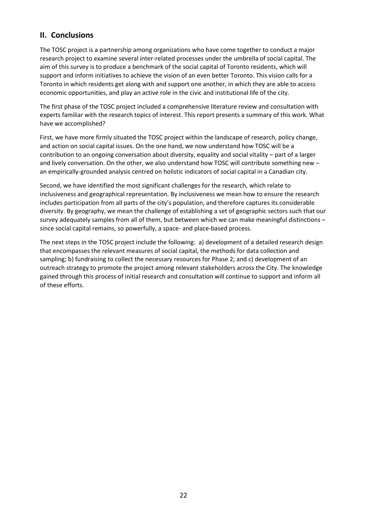### **II. Conclusions**

The TOSC project is a partnership among organizations who have come together to conduct a major research project to examine several inter-related processes under the umbrella of social capital. The aim of this survey is to produce a benchmark of the social capital of Toronto residents, which will support and inform initiatives to achieve the vision of an even better Toronto. This vision calls for a Toronto in which residents get along with and support one another, in which they are able to access economic opportunities, and play an active role in the civic and institutional life of the city.

The first phase of the TOSC project included a comprehensive literature review and consultation with experts familiar with the research topics of interest. This report presents a summary of this work. What have we accomplished?

First, we have more firmly situated the TOSC project within the landscape of research, policy change, and action on social capital issues. On the one hand, we now understand how TOSC will be a contribution to an ongoing conversation about diversity, equality and social vitality – part of a larger and lively conversation. On the other, we also understand how TOSC will contribute something new – an empirically-grounded analysis centred on holistic indicators of social capital in a Canadian city.

Second, we have identified the most significant challenges for the research, which relate to inclusiveness and geographical representation. By inclusiveness we mean how to ensure the research includes participation from all parts of the city's population, and therefore captures its considerable diversity. By geography, we mean the challenge of establishing a set of geographic sectors such that our survey adequately samples from all of them, but between which we can make meaningful distinctions – since social capital remains, so powerfully, a space- and place-based process.

The next steps in the TOSC project include the following: a) development of a detailed research design that encompasses the relevant measures of social capital, the methods for data collection and sampling; b) fundraising to collect the necessary resources for Phase 2; and c) development of an outreach strategy to promote the project among relevant stakeholders across the City. The knowledge gained through this process of initial research and consultation will continue to support and inform all of these efforts.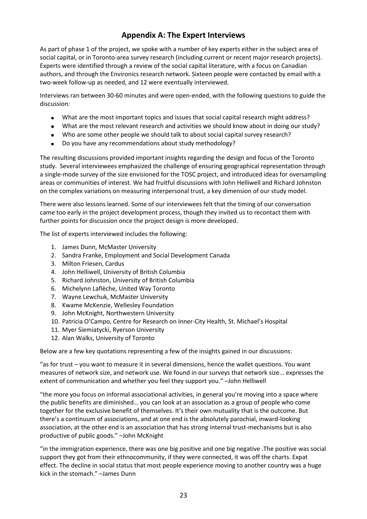## **Appendix A: The Expert Interviews**

As part of phase 1 of the project, we spoke with a number of key experts either in the subject area of social capital, or in Toronto-area survey research (including current or recent major research projects). Experts were identified through a review of the social capital literature, with a focus on Canadian authors, and through the Environics research network. Sixteen people were contacted by email with a two-week follow-up as needed, and 12 were eventually interviewed.

Interviews ran between 30-60 minutes and were open-ended, with the following questions to guide the discussion:

- What are the most important topics and issues that social capital research might address?  $\bullet$
- What are the most relevant research and activities we should know about in doing our study?  $\bullet$
- Who are some other people we should talk to about social capital survey research?
- Do you have any recommendations about study methodology?

The resulting discussions provided important insights regarding the design and focus of the Toronto study. Several interviewees emphasized the challenge of ensuring geographical representation through a single-mode survey of the size envisioned for the TOSC project, and introduced ideas for oversampling areas or communities of interest. We had fruitful discussions with John Helliwell and Richard Johnston on the complex variations on measuring interpersonal trust, a key dimension of our study model.

There were also lessons learned. Some of our interviewees felt that the timing of our conversation came too early in the project development process, though they invited us to recontact them with further points for discussion once the project design is more developed.

The list of experts interviewed includes the following:

- 1. James Dunn, McMaster University
- 2. Sandra Franke, Employment and Social Development Canada
- 3. Milton Friesen, Cardus
- 4. John Helliwell, University of British Columbia
- 5. Richard Johnston, University of British Columbia
- 6. Michelynn Laflèche, United Way Toronto
- 7. Wayne Lewchuk, McMaster University
- 8. Kwame McKenzie, Wellesley Foundation
- 9. John McKnight, Northwestern University
- 10. Patricia O'Campo, Centre for Research on Inner-City Health, St. Michael's Hospital
- 11. Myer Siemiatycki, Ryerson University
- 12. Alan Walks, University of Toronto

Below are a few key quotations representing a few of the insights gained in our discussions:

"as for trust – you want to measure it in several dimensions, hence the wallet questions. You want measures of network size, and network use. We found in our surveys that network size... expresses the extent of communication and whether you feel they support you." –John Helliwell

"the more you focus on informal associational activities, in general you're moving into a space where the public benefits are diminished… you can look at an association as a group of people who come together for the exclusive benefit of themselves. It's their own mutuality that is the outcome. But there's a continuum of associations, and at one end is the absolutely parochial, inward-looking association, at the other end is an association that has strong internal trust-mechanisms but is also productive of public goods." –John McKnight

"in the immigration experience, there was one big positive and one big negative .The positive was social support they got from their ethnocommunity, if they were connected, it was off the charts. Expat effect. The decline in social status that most people experience moving to another country was a huge kick in the stomach." –James Dunn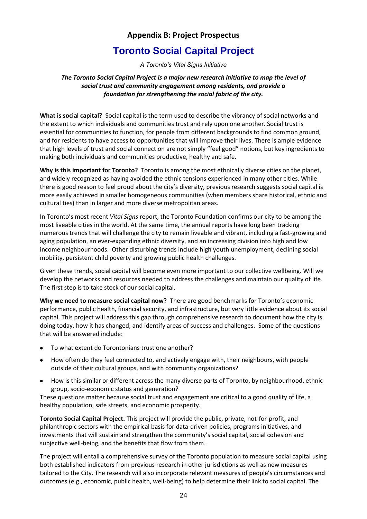### **Appendix B: Project Prospectus**

## **Toronto Social Capital Project**

*A Toronto's Vital Signs Initiative*

#### *The Toronto Social Capital Project is a major new research initiative to map the level of social trust and community engagement among residents, and provide a foundation for strengthening the social fabric of the city.*

**What is social capital?** Social capital is the term used to describe the vibrancy of social networks and the extent to which individuals and communities trust and rely upon one another. Social trust is essential for communities to function, for people from different backgrounds to find common ground, and for residents to have access to opportunities that will improve their lives. There is ample evidence that high levels of trust and social connection are not simply "feel good" notions, but key ingredients to making both individuals and communities productive, healthy and safe.

**Why is this important for Toronto?** Toronto is among the most ethnically diverse cities on the planet, and widely recognized as having avoided the ethnic tensions experienced in many other cities. While there is good reason to feel proud about the city's diversity, previous research suggests social capital is more easily achieved in smaller homogeneous communities (when members share historical, ethnic and cultural ties) than in larger and more diverse metropolitan areas.

In Toronto's most recent *Vital Signs* report, the Toronto Foundation confirms our city to be among the most liveable cities in the world. At the same time, the annual reports have long been tracking numerous trends that will challenge the city to remain liveable and vibrant, including a fast-growing and aging population, an ever-expanding ethnic diversity, and an increasing division into high and low income neighbourhoods. Other disturbing trends include high youth unemployment, declining social mobility, persistent child poverty and growing public health challenges.

Given these trends, social capital will become even more important to our collective wellbeing. Will we develop the networks and resources needed to address the challenges and maintain our quality of life. The first step is to take stock of our social capital.

**Why we need to measure social capital now?** There are good benchmarks for Toronto's economic performance, public health, financial security, and infrastructure, but very little evidence about its social capital. This project will address this gap through comprehensive research to document how the city is doing today, how it has changed, and identify areas of success and challenges. Some of the questions that will be answered include:

- To what extent do Torontonians trust one another?
- How often do they feel connected to, and actively engage with, their neighbours, with people outside of their cultural groups, and with community organizations?
- How is this similar or different across the many diverse parts of Toronto, by neighbourhood, ethnic group, socio-economic status and generation?

These questions matter because social trust and engagement are critical to a good quality of life, a healthy population, safe streets, and economic prosperity.

**Toronto Social Capital Project.** This project will provide the public, private, not-for-profit, and philanthropic sectors with the empirical basis for data-driven policies, programs initiatives, and investments that will sustain and strengthen the community's social capital, social cohesion and subjective well-being, and the benefits that flow from them.

The project will entail a comprehensive survey of the Toronto population to measure social capital using both established indicators from previous research in other jurisdictions as well as new measures tailored to the City. The research will also incorporate relevant measures of people's circumstances and outcomes (e.g., economic, public health, well-being) to help determine their link to social capital. The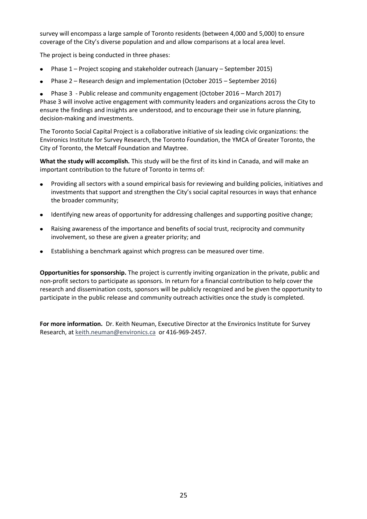survey will encompass a large sample of Toronto residents (between 4,000 and 5,000) to ensure coverage of the City's diverse population and and allow comparisons at a local area level.

The project is being conducted in three phases:

- Phase 1 Project scoping and stakeholder outreach (January September 2015)
- Phase 2 Research design and implementation (October 2015 September 2016)
- Phase 3 Public release and community engagement (October 2016 March 2017)

Phase 3 will involve active engagement with community leaders and organizations across the City to ensure the findings and insights are understood, and to encourage their use in future planning, decision-making and investments.

The Toronto Social Capital Project is a collaborative initiative of six leading civic organizations: the Environics Institute for Survey Research, the Toronto Foundation, the YMCA of Greater Toronto, the City of Toronto, the Metcalf Foundation and Maytree.

**What the study will accomplish.** This study will be the first of its kind in Canada, and will make an important contribution to the future of Toronto in terms of:

- Providing all sectors with a sound empirical basis for reviewing and building policies, initiatives and investments that support and strengthen the City's social capital resources in ways that enhance the broader community;
- Identifying new areas of opportunity for addressing challenges and supporting positive change;
- Raising awareness of the importance and benefits of social trust, reciprocity and community involvement, so these are given a greater priority; and
- Establishing a benchmark against which progress can be measured over time.

**Opportunities for sponsorship.** The project is currently inviting organization in the private, public and non-profit sectors to participate as sponsors. In return for a financial contribution to help cover the research and dissemination costs, sponsors will be publicly recognized and be given the opportunity to participate in the public release and community outreach activities once the study is completed.

**For more information.** Dr. Keith Neuman, Executive Director at the Environics Institute for Survey Research, at [keith.neuman@environics.ca](mailto:keith.neuman@environics.ca) or 416-969-2457.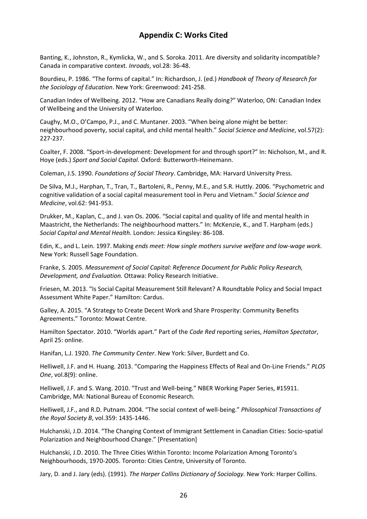### **Appendix C: Works Cited**

Banting, K., Johnston, R., Kymlicka, W., and S. Soroka. 2011. Are diversity and solidarity incompatible? Canada in comparative context. *Inroads*, vol.28: 36-48.

Bourdieu, P. 1986. "The forms of capital." In: Richardson, J. (ed.) *Handbook of Theory of Research for the Sociology of Education*. New York: Greenwood: 241-258.

Canadian Index of Wellbeing. 2012. "How are Canadians Really doing?" Waterloo, ON: Canadian Index of Wellbeing and the University of Waterloo.

Caughy, M.O., O'Campo, P.J., and C. Muntaner. 2003. "When being alone might be better: neighbourhood poverty, social capital, and child mental health." *Social Science and Medicine*, vol.57(2): 227-237.

Coalter, F. 2008. "Sport-in-development: Development for and through sport?" In: Nicholson, M., and R. Hoye (eds.) *Sport and Social Capital*. Oxford: Butterworth-Heinemann.

Coleman, J.S. 1990. *Foundations of Social Theory*. Cambridge, MA: Harvard University Press.

De Silva, M.J., Harphan, T., Tran, T., Bartoleni, R., Penny, M.E., and S.R. Huttly. 2006. "Psychometric and cognitive validation of a social capital measurement tool in Peru and Vietnam." *Social Science and Medicine*, vol.62: 941-953.

Drukker, M., Kaplan, C., and J. van Os. 2006. "Social capital and quality of life and mental health in Maastricht, the Netherlands: The neighbourhood matters." In: McKenzie, K., and T. Harpham (eds.) *Social Capital and Mental Health*. London: Jessica Kingsley: 86-108.

Edin, K., and L. Lein. 1997. Making *ends meet: How single mothers survive welfare and low-wage work.* New York: Russell Sage Foundation.

Franke, S. 2005. *Measurement of Social Capital: Reference Document for Public Policy Research, Development, and Evaluation.* Ottawa: Policy Research Initiative.

Friesen, M. 2013. "Is Social Capital Measurement Still Relevant? A Roundtable Policy and Social Impact Assessment White Paper." Hamilton: Cardus.

Galley, A. 2015. "A Strategy to Create Decent Work and Share Prosperity: Community Benefits Agreements." Toronto: Mowat Centre.

Hamilton Spectator. 2010. "Worlds apart." Part of the *Code Red* reporting series, *Hamilton Spectator*, April 25: online.

Hanifan, L.J. 1920. *The Community Center*. New York: Silver, Burdett and Co.

Helliwell, J.F. and H. Huang. 2013. "Comparing the Happiness Effects of Real and On-Line Friends." *PLOS One*, vol.8(9): online.

Helliwell, J.F. and S. Wang. 2010. "Trust and Well-being." NBER Working Paper Series, #15911. Cambridge, MA: National Bureau of Economic Research.

Helliwell, J.F., and R.D. Putnam. 2004. "The social context of well-being." *Philosophical Transactions of the Royal Society B*, vol.359: 1435-1446.

Hulchanski, J.D. 2014. "The Changing Context of Immigrant Settlement in Canadian Cities: Socio-spatial Polarization and Neighbourhood Change." [Presentation]

Hulchanski, J.D. 2010. The Three Cities Within Toronto: Income Polarization Among Toronto's Neighbourhoods, 1970-2005. Toronto: Cities Centre, University of Toronto.

Jary, D. and J. Jary (eds). (1991). *The Harper Collins Dictionary of Sociology.* New York: Harper Collins.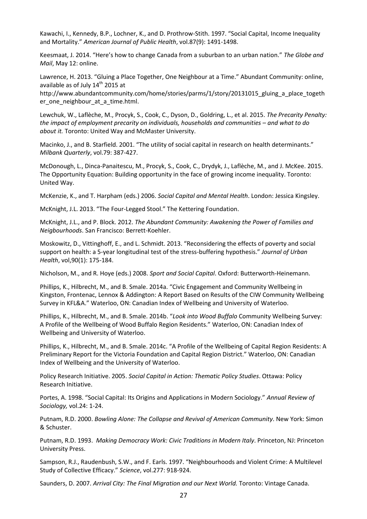Kawachi, I., Kennedy, B.P., Lochner, K., and D. Prothrow-Stith. 1997. "Social Capital, Income Inequality and Mortality." *American Journal of Public Health*, vol.87(9): 1491-1498.

Keesmaat, J. 2014. "Here's how to change Canada from a suburban to an urban nation." *The Globe and Mail*, May 12: online.

Lawrence, H. 2013. "Gluing a Place Together, One Neighbour at a Time." Abundant Community: online, available as of July 14<sup>th</sup> 2015 at

http://www.abundantcommunity.com/home/stories/parms/1/story/20131015\_gluing\_a\_place\_togeth er\_one\_neighbour\_at\_a\_time.html.

Lewchuk, W., Laflèche, M., Procyk, S., Cook, C., Dyson, D., Goldring, L., et al. 2015. *The Precarity Penalty: the impact of employment precarity on individuals, households and communities – and what to do about it.* Toronto: United Way and McMaster University.

Macinko, J., and B. Starfield. 2001. "The utility of social capital in research on health determinants." *Milbank Quarterly*, vol.79: 387-427.

McDonough, L., Dinca-Panaitescu, M., Procyk, S., Cook, C., Drydyk, J., Laflèche, M., and J. McKee. 2015. The Opportunity Equation: Building opportunity in the face of growing income inequality. Toronto: United Way.

McKenzie, K., and T. Harpham (eds.) 2006. *Social Capital and Mental Health*. London: Jessica Kingsley.

McKnight, J.L. 2013. "The Four-Legged Stool." The Kettering Foundation.

McKnight, J.L., and P. Block. 2012. *The Abundant Community: Awakening the Power of Families and Neigbourhoods*. San Francisco: Berrett-Koehler.

Moskowitz, D., Vittinghoff, E., and L. Schmidt. 2013. "Reconsidering the effects of poverty and social support on health: a 5-year longitudinal test of the stress-buffering hypothesis." *Journal of Urban Health*, vol,90(1): 175-184.

Nicholson, M., and R. Hoye (eds.) 2008. *Sport and Social Capital*. Oxford: Butterworth-Heinemann.

Phillips, K., Hilbrecht, M., and B. Smale. 2014a. "Civic Engagement and Community Wellbeing in Kingston, Frontenac, Lennox & Addington: A Report Based on Results of the CIW Community Wellbeing Survey in KFL&A." Waterloo, ON: Canadian Index of Wellbeing and University of Waterloo.

Phillips, K., Hilbrecht, M., and B. Smale. 2014b. "*Look into Wood Buffalo* Community Wellbeing Survey: A Profile of the Wellbeing of Wood Buffalo Region Residents." Waterloo, ON: Canadian Index of Wellbeing and University of Waterloo.

Phillips, K., Hilbrecht, M., and B. Smale. 2014c. "A Profile of the Wellbeing of Capital Region Residents: A Preliminary Report for the Victoria Foundation and Capital Region District." Waterloo, ON: Canadian Index of Wellbeing and the University of Waterloo.

Policy Research Initiative. 2005. *Social Capital in Action: Thematic Policy Studies*. Ottawa: Policy Research Initiative.

Portes, A. 1998. "Social Capital: Its Origins and Applications in Modern Sociology." *Annual Review of Sociology,* vol.24: 1-24.

Putnam, R.D. 2000. *Bowling Alone: The Collapse and Revival of American Community*. New York: Simon & Schuster.

Putnam, R.D. 1993. *Making Democracy Work: Civic Traditions in Modern Italy*. Princeton, NJ: Princeton University Press.

Sampson, R.J., Raudenbush, S.W., and F. Earls. 1997. "Neighbourhoods and Violent Crime: A Multilevel Study of Collective Efficacy." *Science*, vol.277: 918-924.

Saunders, D. 2007. *Arrival City: The Final Migration and our Next World.* Toronto: Vintage Canada.